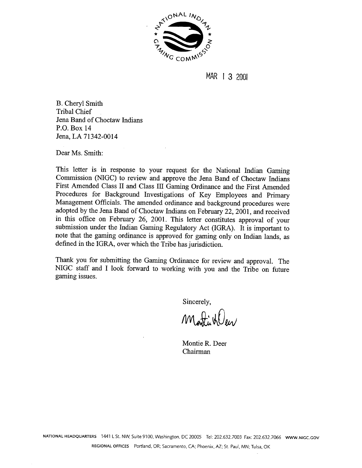

MAR | 3 2001

B. Cheryl Smith Tribal Chief Jena Band of Choctaw Indians **P.O.** Box 14 Jena, LA 71342-0014

Dear Ms. Smith:

This letter is in response to your request for the National Indian Gaming Commission (NIGC) to review and approve the Jena Band of Choctaw Indians First Amended Class II and Class III Gaming Ordinance and the First Amended Procedures for Background Investigations of Key Employees and Primary Management Officials. The amended ordinance and background procedures were adopted by the Jena Band of Choctaw Indians on February 22,2001, and received in this office on February 26, 2001. This letter constitutes approval of your submission under the Indian Gaming Regulatory Act (IGRA). It is important to note that the gaming ordinance is approved for gaming only on Indian lands, as defined in the IGRA, over which the Tribe has jurisdiction.

Thank you for submitting the Gaming Ordinance for review and approval. The NIGC staff and I look forward to working with you and the Tribe on future gaming issues.

Sincerely, **<sup>h</sup>**

Montiviller

Montie R. Deer Chairman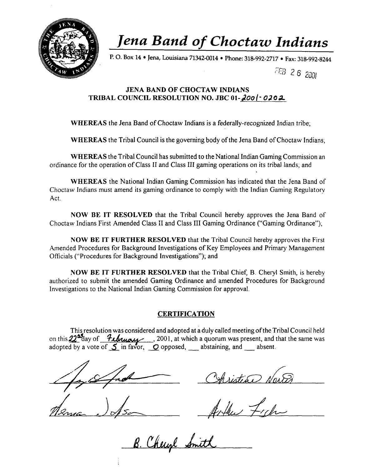

# *Jena Band of* **Choctaw** *Indians*

**P.** 0. **Box 14 Jena, Louisiana 71342-0014 Phone: 318-992-2717 Fax: 318-992-8244** 

FEB 26 2001

# **JENA BAND OF CHOCTAW INDIANS TRIBAL COUNCIL RESOLUTION NO. JBC 01- a00** - **02 o a**

**WHEREAS** the Jena Band of Choctaw Indians is a federally-recognized Indian tribe;

**WHEREAS** the Tribal Council is the governing body of the Jena Band of Choctaw Indians;

**WHEREAS** the Tribal Council has submitted to the National Indian Gaming Commission an ordinance for the operation of Class I1 and Class 111 gaming operations on its tribal lands; and

**WHEREAS** the National Indian Gaming Commission has indicated that the Jena Band of Choctaw Indians must amend its gaming ordinance to comply with the Indian Gaming Regulatory Act.

**NOW BE IT RESOLVED** that the Tribal Council hereby approves the Jena Band of Choctaw Indians First Amended Class I1 and Class I11 Gaming Ordinance ("Gaming Ordinance");

**NOW BE IT FURTHER RESOLVED** that the Tribal Council hereby approves the First Amended Procedures for Background Investigations of Key Employees and Primary Management Officials ("Procedures for Background Investigations"); and

**NOW BE IT FURTHER RESOLVED** that the Tribal Chief, B. Cheryl Smith, is hereby authorized to submit the amended Gaming Ordinance and amended Procedures for Background Investigations to the National Indian Gaming Commission for approval.

# **CERTIFICATION**

This resolution was considered and adopted at a duly called meeting ofthe Tribal Council held Investigations to the National Indian Gaming Commission for approval.<br> **CERTIFICATION**<br>
This resolution was considered and adopted at a duly called meeting of the Tribal Council held<br>
on this 22<sup>6</sup>day of *Linuxy*, 2001,

Christian New

B. Cheryl Smith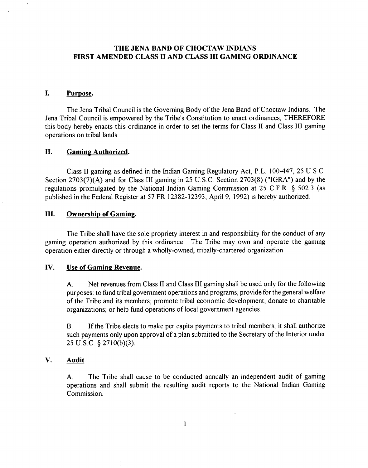# **THE JENA BAND OF CHOCTAW INDIANS FIRST AMENDED CLASS I1 AND CLASS I11 GAMING ORDINANCE**

#### L Purpose.

 $\ddot{\phantom{1}}$ 

The Jena Tribal Council is the Governing Body of the Jena Band of Choctaw Indians. The Jena Tribal Council is empowered by the Tribe's Constitution to enact ordinances, THEREFORE this body hereby enacts this ordinance in order to set the terms for Class I1 and Class I11 gaming operations on tribal lands.

### **11.** Gaming Authorized.

Class I1 gaming as defined in the Indian Gaming Regulatory Act, P.L. 100-447, 25 U.S.C. Section 2703(7)(A) and for Class III gaming in 25 U.S.C. Section 2703(8) ("IGRA") and by the regulations promulgated by the National Indian Gaming Commission at 25 C.F.R. *5* 502.3 (as published in the Federal Register at 57 FR 12382-12393, April 9, 1992) is hereby authorized.

# **111.** Ownership of Gaming.

The Tribe shall have the sole propriety interest in and responsibility for the conduct of any gaming operation authorized by this ordinance. The Tribe may own and operate the gaming operation either directly or through a wholly-owned, tribally-chartered organization.

### **IV.** Use of Gaming Revenue.

A. Net revenues from Class I1 and Class I11 gaming shall be used only for the following purposes: to fund tribal government operations and programs; provide for the general welfare of the Tribe and its members; promote tribal economic development; donate to charitable organizations; or help fund operations of local government agencies.

B. If the Tribe elects to make per capita payments to tribal members, it shall authorize such payments only upon approval of a plan submitted to the Secretary of the Interior under 25 U.S.C. *5* 2710(b)(3).

# **V.** Audit.

**A.** The Tribe shall cause to be conducted annually an independent audit of gaming operations and shall submit the resulting audit reports to the National Indian Gaming Commission.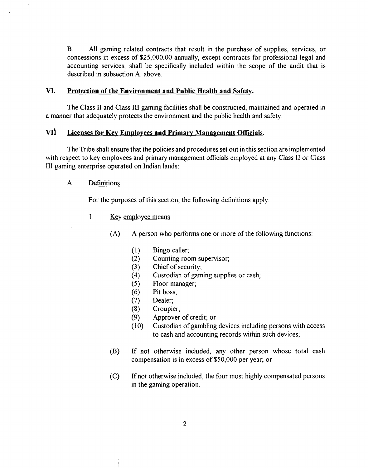**B.** All gaming related contracts that result in the purchase of supplies, services, or concessions in excess of \$25,000.00 annually, except contracts for professional legal and accounting services, shall be specifically included within the scope of the audit that is described in subsection A. above.

# **VI. Protection of the Environment and Public Health and Safety.**

The Class I1 and Class I11 gaming facilities shall be constructed, maintained and operated in a manner that adequately protects the environment and the public health and safety.

# VI<sup>1</sup> Licenses for Key Employees and Primary Management Officials.

The Tribe shall ensure that the policies and procedures set out in this section are implemented with respect to key employees and primary management officials employed at any Class II or Class I11 gaming enterprise operated on Indian lands:

# **A.** Definitions

For the purposes of this section, the following definitions apply:

# **1.** Kev emplovee means

**(A) A** person who performs one or more of the following functions:

- $(1)$ Bingo caller;
- $(2)$ Counting room supervisor;
- $(3)$ Chief of security;
- Custodian of gaming supplies or cash;  $(4)$
- Floor manager;  $(5)$
- Pit boss;  $(6)$
- $(7)$ Dealer;
- $(8)$ Croupier;
- Approver of credit; or  $(9)$
- $(10)$ Custodian of gambling devices including persons with access to cash and accounting records within such devices;
- (B) If not otherwise included, any other person whose total cash compensation is in excess of \$50,000 per year; or
- (C) If not otherwise included, the four most highly compensated persons in the gaming operation.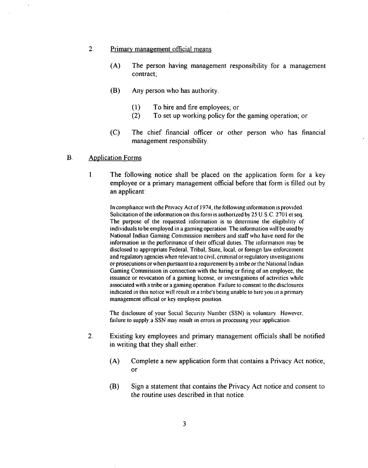### 2. Primary management official means

- (A) The person having management responsibility for a management contract;
- **(B)** Any person who has authority.
	- (1) To hire and fire employees; or<br>(2) To set up working policy for the
	- To set up working policy for the gaming operation; or
- (C) The chief financial officer or other person who has financial management responsibility.

### B. Application Forms

1. The following notice shall be placed on the application form for a key employee or a primary management official before that form is filled out by an applicant:

In compliance with the Privacy Act of 1974, the following information isprovided: Solicitation of the information on this form is authorized by 25 U.S.C. 2701 et seq. The purpose of the requested information is to determine the eligibility of individuals to be employed in a gaming operation. The information will be used by National Indian Gaming Commission members and staff who have need for the information in the performance of their official duties. The information may be disclosed to appropriate Federal, Tribal, State, local, or forelgn law enforcement and regulatory agencies when relevant to civil, criminal or regulatory investigations or prosecutions or when pursuant toa requirement by a tribe or the National Indian Gaming Commission in connection with the hiring or firing of an employee, the issuance or revocation of a gaming license, or investigations of activities while associated with a tribe or a gaming operation. Failure to consent to the disclosures indicated in this notice will result in a tribe's being unable to hire you in a primary management official or key employee position.

The disclosure of your Social Security Number (SSN) is voluntary. However, failure to supply a SSN may result in errors in processing your application.

- 2. Existing key employees and primary management officials shall be notified in writing that they shall either:
	- (A) Complete a new application form that contains a Privacy Act notice, or
	- (B) Sign a statement that contains the Privacy Act notice and consent to the routine uses described in that notice.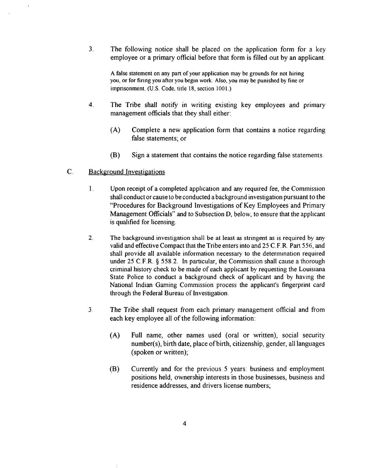**3.** The following notice shall be placed on the application form for a key employee or a primary official before that form is filled out by an applicant.

**A** false statement on any pan of your application may be grounds for not hiring you, or for firing you after you begin work. Also, you may be punished by fine or imprisonment. **(U.S.** Code. title 18, section 1001.)

- **4.** The Tribe shall notify in writing existing key employees and primary management officials that they shall either:
	- (A) Complete a new application form that contains a notice regarding false statements; or
	- (B) Sign a statement that contains the notice regarding false statements.

#### $\mathbf{C}$ Background Investigations

- **1.** Upon receipt of a completed application and any required fee, the Commission shall conduct or cause to be conducted a background investigation pursuant to the "Procedures for Background Investigations of Key Employees and Primary Management Oficials" and to Subsection D, below, to ensure that the applicant is qualified for licensing.
- **2.** The background investigation shall be at least **as** stringent as is required by any valid and effective Compact that the Tribe enters into and 25 C.F.R. Part 556, and shall provide all available information necessary to the determination required under *25* C.F.R. \$ 558.2. In particular, the Commission shall cause a thorough criminal history check to be made of each applicant by requesting the Louisiana State Police to conduct a background check of applicant and by having the National Indian Gaming Commission process the applicant's fingerprint card through the Federal Bureau of Investigation.
- **3.** The Tribe shall request from each primary management official and from each key employee all of the following information:
	- (A) Full name, other names used (oral or written), social security number(s), birth date, place of birth, citizenship, gender, all languages (spoken or written);
	- (B) Currently and for the previous 5 years: business and employment positions held, ownership interests in those businesses, business and residence addresses, and drivers license numbers;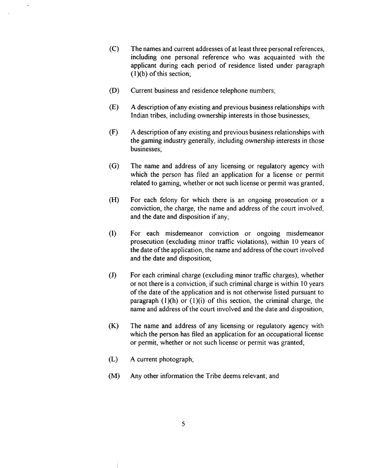- $(C)$ The names and current addresses of at least three personal references, including one personal reference who was acquainted with the applicant during each period of residence listed under paragraph (l)(b) of this section;
- $(D)$ Current business and residence telephone numbers;
- (E) **A** description of any existing and previous business relationships with Indian tribes, including ownership interests in those businesses;
- $(F)$ **A** description of any existing and previous business relationships with the gaming industry generally, including ownership interests in those businesses;
- $(G)$ The name and address of any licensing or regulatory agency with which the person has filed an application for a license or permit related to gaming, whether or not such license or permit was granted,
- $(H)$ For each felony for which there is an ongoing prosecution or a conviction, the charge, the name and address of the court involved, and the date and disposition if any;
- $(I)$ For each misdemeanor conviction or ongoing misdemeanor prosecution (excluding minor traffic violations), within 10 years of the date of the application, the name and address of the court involved and the date and disposition;
- $(J)$ For each criminal charge (excluding minor traffic charges), whether or not there is a conviction, if such criminal charge is within 10 years of the date of the application and is not otherwise listed pursuant to paragraph  $(1)(h)$  or  $(1)(i)$  of this section, the criminal charge, the name and address of the court involved and the date and disposition;
- $(K)$ The name and address of any licensing or regulatory agency with which the person has filed an application for an occupational license or permit, whether or not such license or permit was granted;
- $(L)$ **A** current photograph;
- $(M)$ **Any** other information the Tribe deems relevant; and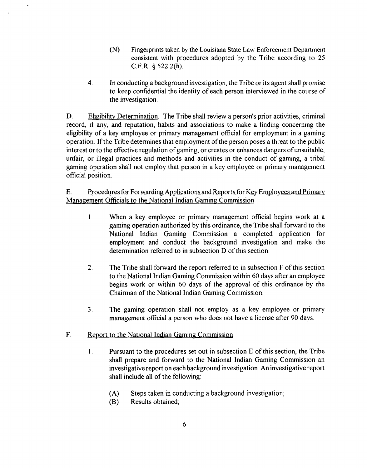- (N) Fingerprints taken by the Louisiana State Law Enforcement Department consistent with procedures adopted by the Tribe according to 25 C.F.R. \$ 522.2(h).
- **4.** In conducting a background investigation, the Tribe or its agent shall promise to keep confidential the identity of each person interviewed in the course of the investigation.

D. Eligibility Determination. The Tribe shall review a person's prior activities, criminal record, if any, and reputation, habits and associations to make a finding concerning the eligibility of a key employee or primary management official for employment in a gaming operation. If the Tribe determines that employment of the person poses a threat to the public interest or to the effective regulation of gaming, or creates or enhances dangers of unsuitable, unfair, or illegal practices and methods and activities in the conduct of gaming, a tribal gaming operation shall not employ that person in a key employee or primary management official position.

# E. Procedures for Forwarding Applications and Reports for Key Employees and Primary Management Officials to the National Indian Gaming Commission

- 1. When a key employee or primary management official begins work at a gaming operation authorized by this ordinance, the Tribe shall forward to the National Indian Gaming Commission a completed application for employment and conduct the background investigation and make the determination referred to in subsection D of this section.
- **2.** The Tribe shall forward the report referred to in subsection F of this section to the National Indian Gaming Commission within 60 days after an employee begins work or within 60 days of the approval of this ordinance by the Chairman of the National Indian Gaming Commission.
- **3.** The gaming operation shall not employ as a key employee or primary management official a person who does not have a license after 90 days.

# F. Report to the National Indian Gaming Commission

- 1. Pursuant to the procedures set out in subsection E of this section, the Tribe shall prepare and forward to the National Indian Gaming Commission an investigative report on each background investigation. **An** investigative report shall include all of the following:
	- (A) Steps taken in conducting a background investigation;<br>(B) Results obtained;
	- Results obtained;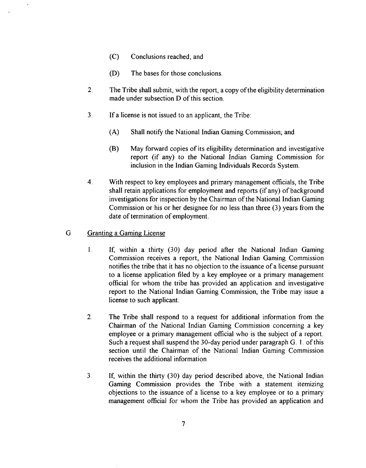- (C) Conclusions reached; and
- (D) The bases for those conclusions.
- **2.** The Tribe shall submit, with the report, a copy ofthe eligibility determination made under subsection D of this section.
- 3. If a license is not issued to an applicant, the Tribe:
	- (A) Shall notify the National Indian Gaming Commission; and
	- **(B)** May forward copies of its eligibility determination and investigative report (if any) to the National Indian Gaming Commission for inclusion in the Indian Gaming Individuals Records System.
- **4.** With respect to key employees and primary management officials, the Tribe shall retain applications for employment and reports (if any) of background investigations for inspection by the Chairman of the National Indian Gaming Commission or his or her designee for no less than three (3) years from the date of termination of employment.

# G. Granting a Gaming License

- **1.** If, within a thirty (30) day period after the National Indian Gaming Commission receives a report, the National Indian Gaming Commission notifies the tribe that it has no objection to the issuance of a license pursuant to a license application filed by a key employee or a primary management official for whom the tribe has provided an application and investigative report to the National Indian Gaming Commission, the Tribe may issue a license to such applicant.
- 2. The Tribe shall respond to a request for additional information from the Chairman of the National Indian Gaming Commission concerning a key employee or a primary management official who is the subject of a report. Such a request shall suspend the 30-day period under paragraph G. 1. of this section until the Chairman of the National Indian Gaming Commission receives the additional information.
- 3. If, within the thirty (30) day period described above, the National Indian Gaming Commission provides the Tribe with a statement itemizing objections to the issuance of a license to a key employee or to a primary management official for whom the Tribe has provided an application and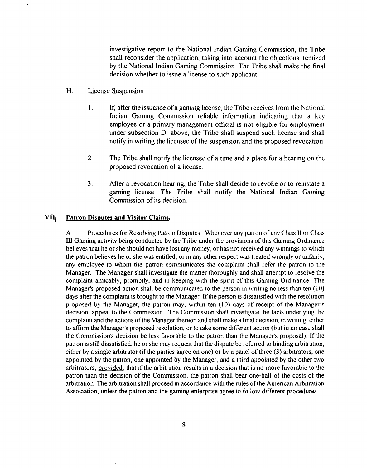investigative report to the National Indian Gaming Commission, the Tribe shall reconsider the application, taking into account the objections itemized by the National Indian Gaming Commission. The Tribe shall make the final decision whether to issue a license to such applicant.

- H. License Suspension
	- 1. If, after the issuance of a gaming license, the Tribe receives from the National Indian Gaming Commission reliable information indicating that a key employee or a primary management official is not eligible for employment under subsection D. above, the Tribe shall suspend such license and shall notify in writing the licensee of the suspension and the proposed revocation
	- **2.** The Tribe shall notify the licensee of a time and a place for a hearing on the proposed revocation of a license.
	- **3.** After a revocation hearing, the Tribe shall decide to revoke or to reinstate a gaming license. The Tribe shall notify the National Indian Gaming Commission of its decision.

#### **VIII Patron Disputes and Visitor Claims.**

A. Procedures for Resolving Patron Disputes. Whenever any patron of any Class **I1** or Class **111** Gaming activity being conducted by the Tribe under the provisions of this Gaming Ordinance believes that he or she should not have lost any money, or has not received any winnings to which the patron believes he or she was entitled, or in any other respect was treated wrongly or unfairly, any employee to whom the patron communicates the complaint shall refer the patron to the Manager. The Manager shall investigate the matter thoroughly and shall attempt to resolve the complaint amicably, promptly, and in keeping with the spirit of this Gaming Ordinance. The Manager's proposed action shall be communicated to the person in writing no less than ten **(10)**  days after the complaint is brought to the Manager. If the person is dissatisfied with the resolution proposed by the Manager, the patron may, within ten (10) days of receipt of the Manager's decision, appeal to the Commission. The Commission shall investigate the facts underlying the complaint and the actions of the Manager thereon and shall make a final decision, in writing, either to affirm the Manager's proposed resolution, or to take some different action (but in no case shall the Commission's decision be less favorable to the patron than the Manager's proposal). If the patron is still dissatisfied, he or she may request that the dispute be referred to binding arbitration, either by a single arbitrator (if the parties agree on one) or by a panel of three **(3)** arbitrators, one appointed by the patron, one appointed by the Manager, and a third appointed by the other two arbitrators; provided, that if the arbitration results in a decision that is no more favorable to the patron than the decision of the Commission, the patron shall bear one-half of the costs of the arbitration. The arbitration shall proceed in accordance with the rules of the American Arbitration Association, unless the patron and the gaming enterprise agree to follow different procedures.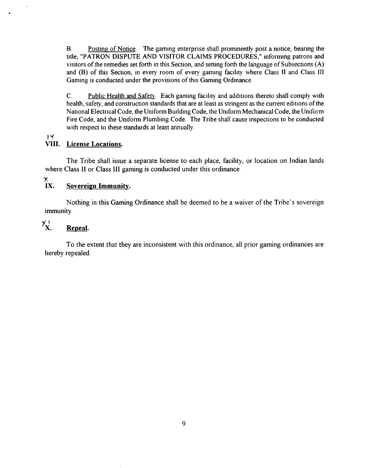B. Posting of Notice. The gaming enterprise shall prominently post a notice, bearing the title, "PATRON DISPUTE AND VISITOR CLAIMS PROCEDURES," informing patrons and visitors of the remedies set forth in this Section, and setting forth the language of Subsections (A) and (B) of this Section, in every room of every gaming facility where Class II and Class III Gaming is conducted under the provisions of this Gaming Ordinance.

C. Public Health and Safetv. Each gaming facility and additions thereto shall comply with health, safety, and construction standards that are at least as stringent as the current editions of the National Electrical Code, the Uniform Building Code, the Uniform Mechanical Code, the Uniform Fire Code, and the Uniform Plumbing Code. The Tribe shall cause inspections to be conducted with respect to these standards at least annually.

**1'1'** 

# **VIII. License Locations.**

The Tribe shall issue a separate license to each place, facility, or location on Indian lands where Class **I1** or Class **I11** gaming is conducted under this ordinance.

### $\boldsymbol{\tilde{K}}$ **IX. Sovereign Immunity.**

Nothing in this Gaming Ordinance shall be deemed to be a waiver of the Tribe's sovereign immunity.

# $X^*$ . **Repeal.**

To the extent that they are inconsistent with this ordinance, all prior gaming ordinances are hereby repealed.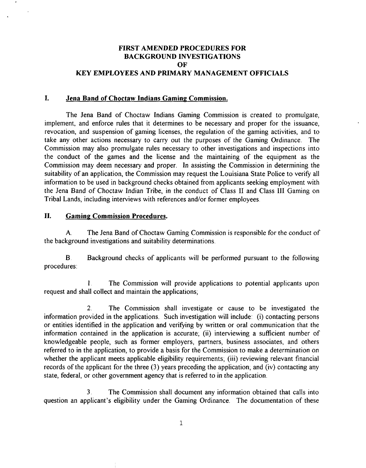# **FIRST AMENDED PROCEDURES FOR BACKGROUND INVESTIGATIONS OF KEY EMPLOYEES AND PRIMARY MANAGEMENT OFFICIALS**

# **I. Jena Band of Choctaw Indians Gaming Commission.**

The Jena Band of Choctaw Indians Gaming Commission is created to promulgate, implement, and enforce rules that it determines to be necessary and proper for the issuance, revocation, and suspension of gaming licenses, the regulation of the gaming activities, and to take any other actions necessary to carry out the purposes of the Gaming Ordinance. The Commission may also promulgate rules necessary to other investigations and inspections into the conduct of the games and the license and the maintaining of the equipment as the Commission may deem necessary and proper. In assisting the Commission in determining the suitability of an application, the Commission may request the Louisiana State Police to verify all information to be used in background checks obtained from applicants seeking employment with the Jena Band of Choctaw Indian Tribe, in the conduct of Class **I1** and Class I11 Gaming on Tribal Lands, including interviews with references and/or former employees.

# **11. Gaming Commission Procedures.**

**A.** The Jena Band of Choctaw Gaming Commission is responsible for the conduct of the background investigations and suitability determinations.

B. Background checks of applicants will be performed pursuant to the following procedures:

**1.** The Commission will provide applications to potential applicants upon request and shall collect and maintain the applications;

2. The Commission shall investigate or cause to be investigated the information provided in the applications. Such investigation will include: (i) contacting persons or entities identified in the application and verifying by written or oral communication that the information contained in the application is accurate; (ii) interviewing a sufficient number of knowledgeable people, such as former employers, partners, business associates, and others referred to in the application, to provide a basis for the Commission to make a determination on whether the applicant meets applicable eligibility requirements; (iii) reviewing relevant financial records of the applicant for the three (3) years preceding the application; and (iv) contacting any state, federal, or other government agency that is referred to in the application.

**3.** The Commission shall document any information obtained that calls into question an applicant's eligibility under the Gaming Ordinance. The documentation of these

 $\mathbf{1}$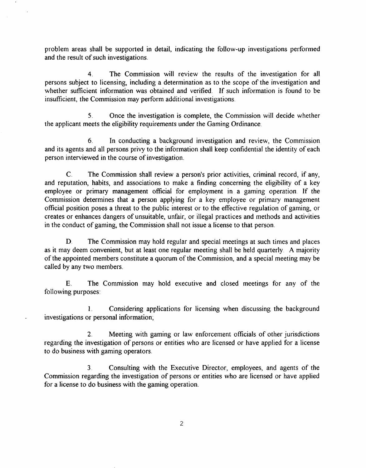problem areas shall be supported in detail, indicating the follow-up investigations performed and the result of such investigations.

**4.** The Commission will review the results of the investigation for all persons subject to licensing, including a determination as to the scope of the investigation and whether sufficient information was obtained and verified. If such information is found to be insufficient, the Commission may perform additional investigations.

**5.** Once the investigation is complete, the Commission will decide whether the applicant meets the eligibility requirements under the Gaming Ordinance.

*6.* In conducting a background investigation and review, the Commission and its agents and all persons privy to the information shall keep confidential the identity of each person interviewed in the course of investigation.

C. The Commission shall review a person's prior activities, criminal record, if any, and reputation, habits, and associations to make a finding concerning the eligibility of a key employee or primary management official for employment in a gaming operation. If the Commission determines that a person applying for a key employee or primary management official position poses a threat to the public interest or to the effective regulation of gaming, or creates or enhances dangers of unsuitable, unfair, or illegal practices and methods and activities in the conduct of gaming, the Commission shall not issue a license to that person.

D. The Commission may hold regular and special meetings at such times and places as it may deem convenient, but at least one regular meeting shall be held quarterly. A majority of the appointed members constitute a quorum of the Commission, and a special meeting may be called by any two members.

E. The Commission may hold executive and closed meetings for any of the following purposes:

**1.** Considering applications for licensing when discussing the background investigations or personal information;

**2.** Meeting with gaming or law enforcement officials of other jurisdictions regarding the investigation of persons or entities who are licensed or have applied for a license to do business with gaming operators.

**3.** Consulting with the Executive Director, employees, and agents of the Commission regarding the investigation of persons or entities who are licensed or have applied for a license to do business with the gaming operation.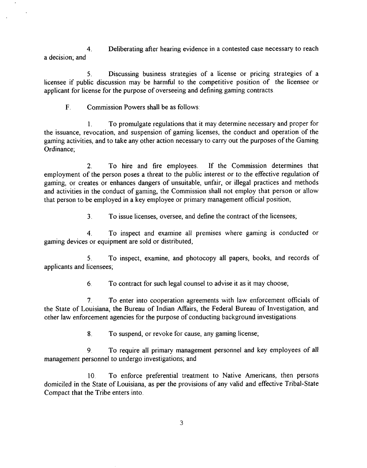**4.** Deliberating after hearing evidence in a contested case necessary to reach a decision; and

**5.** Discussing business strategies of a license or pricing strategies of a licensee if public discussion may be harmful to the competitive position of the licensee or applicant for license for the purpose of overseeing and defining gaming contracts.

F. Commission Powers shall be as follows:

**1.** To promulgate regulations that it may determine necessary and proper for the issuance, revocation, and suspension of gaming licenses, the conduct and operation of the gaming activities, and to take any other action necessary to carry out the purposes of the Gaming Ordinance;

2. To hire and fire employees. If the Commission determines that employment of the person poses a threat to the public interest or to the effective regulation of gaming, or creates or enhances dangers of unsuitable, unfair, or illegal practices and methods and activities in the conduct of gaming, the Commission shall not employ that person or allow that person to be employed in a key employee or primary management official position,

**3.** To issue licenses, oversee, and define the contract of the licensees;

**4.** To inspect and examine all premises where gaming is conducted or gaming devices or equipment are sold or distributed,

**5.** To inspect, examine, and photocopy all papers, books, and records of applicants and licensees;

*6.* To contract for such legal counsel to advise it as it may choose;

**7.** To enter into cooperation agreements with law enforcement officials of the State of Louisiana, the Bureau of Indian Affairs, the Federal Bureau of Investigation, and other law enforcement agencies for the purpose of conducting background investigations.

**8.** To suspend, or revoke for cause, any gaming license;

9. To require all primary management personnel and key employees of all management personnel to undergo investigations; and

10. To enforce preferential treatment to Native Americans, then persons domiciled in the State of Louisiana, as per the provisions of any valid and effective Tribal-State Compact that the Tribe enters into.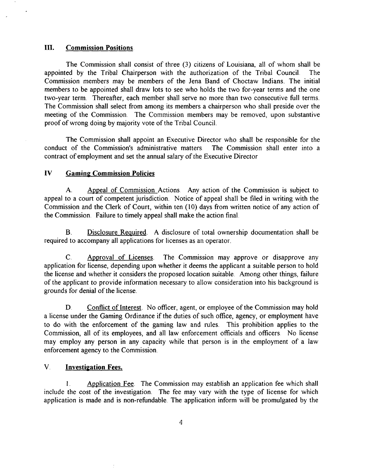## **111. Commission Positions.**

 $\cdot$ 

The Commission shall consist of three **(3)** citizens of Louisiana, all of whom shall be appointed by the Tribal Chairperson with the authorization of the Tribal Council. The Commission members may be members of the Jena Band of Choctaw Indians. The initial members to be appointed shall draw lots to see who holds the two for-year terms and the one two-year term. Thereafter, each member shall serve no more than two consecutive full terms. The Commission shall select from among its members a chairperson who shall preside over the meeting of the Commission. The Commission members may be removed, upon substantive proof of wrong doing by majority vote of the Tribal Council.

The Commission shall appoint an Executive Director who shall be responsible for the conduct of the Commission's administrative matters. The Commission shall enter into a contract of employment and set the annual salary of the Executive Director

# **IV** Gaming Commission Policies

A. Appeal of Commission Actions. Any action of the Commission is subject to appeal to a court of competent jurisdiction. Notice of appeal shall be filed in writing with the Commission and the Clerk of Court, within ten (10) days from written notice of any action of the Commission. Failure to timely appeal shall make the action final.

B. Disclosure Reauired. A disclosure of total ownership documentation shall be required to accompany all applications for licenses as an operator.

C. Approval of Licenses. The Commission may approve or disapprove any application for license, depending upon whether it deems the applicant a suitable person to hold the license and whether it considers the proposed location suitable. Among other things, failure of the applicant to provide information necessary to allow consideration into his background is grounds for denial of the license.

D. Conflict of Interest. No officer, agent, or employee of the Commission may hold a license under the Gaming Ordinance if the duties of such ofice, agency, or employment have to do with the enforcement of the gaming law and rules. This prohibition applies to the Commission, all of its employees, and all law enforcement officials and officers. No license may employ any person in any capacity while that person is in the employment of a law enforcement agency to the Commission.

# **V. Investipation Fees.**

**1.** Aoplication Fee. The Commission may establish an application fee which shall include the cost of the investigation. The fee may vary with the type of license for which application is made and is non-refundable. The application inform will be promulgated by the

 $\boldsymbol{4}$